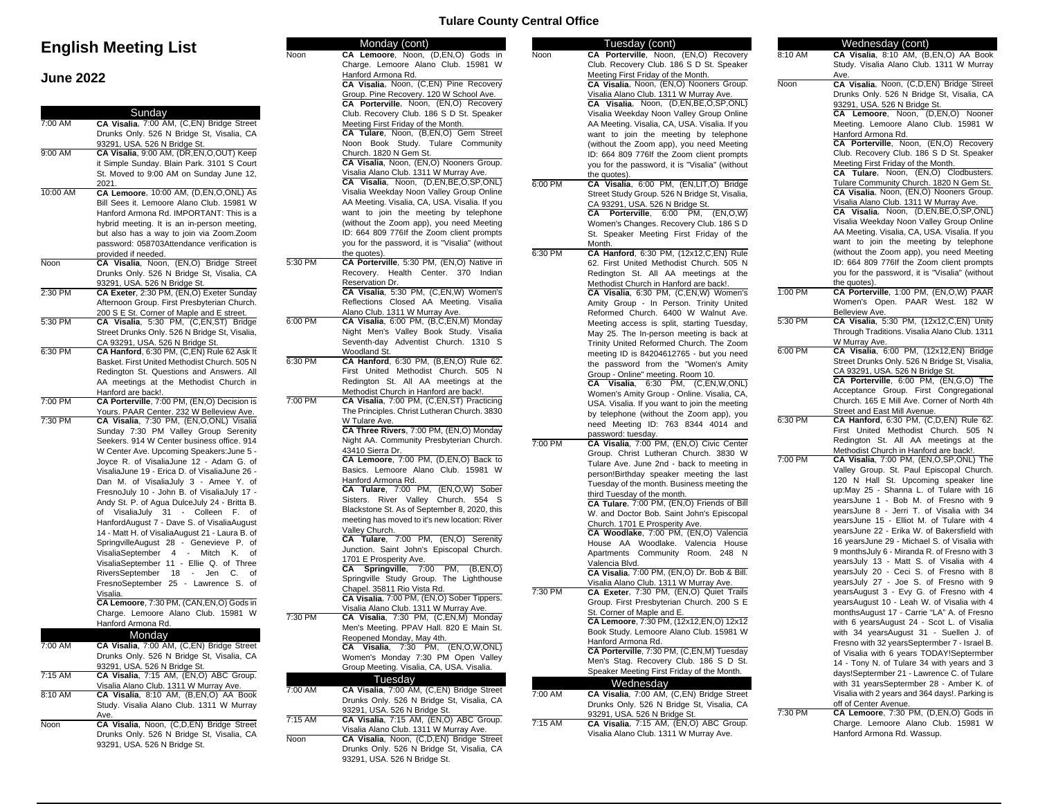# **English Meeting List**

## **June 2022**

| 7:00 AM   | Sunday<br>CA Visalia, 7:00 AM, (C,EN) Bridge Street                                      |           |
|-----------|------------------------------------------------------------------------------------------|-----------|
|           | Drunks Only. 526 N Bridge St, Visalia, CA                                                |           |
|           | 93291, USA. 526 N Bridge St.                                                             |           |
| 9:00 AM   | CA Visalia, 9:00 AM, (DR,EN,O,OUT) Keep                                                  |           |
|           | it Simple Sunday. Blain Park. 3101 S Court                                               |           |
|           | St. Moved to 9:00 AM on Sunday June 12,                                                  |           |
|           | 2021.                                                                                    |           |
| 10:00 AM  | CA Lemoore, 10:00 AM, (D,EN,O,ONL) As                                                    |           |
|           | Bill Sees it. Lemoore Alano Club. 15981 W                                                |           |
|           | Hanford Armona Rd. IMPORTANT: This is a                                                  |           |
|           | hybrid meeting. It is an in-person meeting,                                              |           |
|           | but also has a way to join via Zoom.Zoom                                                 |           |
|           | password: 058703Attendance verification is                                               |           |
|           | provided if needed.                                                                      |           |
| Noon      | CA Visalia, Noon, (EN,O) Bridge Street                                                   | 5:30 PM   |
|           | Drunks Only. 526 N Bridge St, Visalia, CA                                                |           |
|           | 93291, USA. 526 N Bridge St.                                                             |           |
| 2:30 PM   | CA Exeter, 2:30 PM, (EN,O) Exeter Sunday                                                 |           |
|           | Afternoon Group. First Presbyterian Church.                                              |           |
| $5:30$ PM | 200 S E St. Corner of Maple and E street.                                                | 6:00 PM   |
|           | CA Visalia, 5:30 PM, (C,EN,ST) Bridge<br>Street Drunks Only. 526 N Bridge St, Visalia,   |           |
|           | CA 93291, USA. 526 N Bridge St.                                                          |           |
| 6:30 PM   | CA Hanford, 6:30 PM, (C,EN) Rule 62 Ask It                                               |           |
|           | Basket. First United Methodist Church. 505 N                                             | 6:30 PM   |
|           | Redington St. Questions and Answers. All                                                 |           |
|           | AA meetings at the Methodist Church in                                                   |           |
|           | Hanford are back!.                                                                       |           |
| 7:00 PM   | CA Porterville, 7:00 PM, (EN,O) Decision is                                              | 7:00 PM   |
|           | Yours. PAAR Center. 232 W Belleview Ave.                                                 |           |
| 7:30 PM   | CA Visalia, 7:30 PM, (EN,O,ONL) Visalia                                                  |           |
|           | Sunday 7:30 PM Valley Group Serenity                                                     |           |
|           | Seekers. 914 W Center business office. 914                                               |           |
|           | W Center Ave. Upcoming Speakers: June 5 -                                                |           |
|           | Joyce R. of VisaliaJune 12 - Adam G. of                                                  |           |
|           | VisaliaJune 19 - Erica D. of VisaliaJune 26 -                                            |           |
|           | Dan M. of VisaliaJuly 3 - Amee Y. of                                                     |           |
|           | FresnoJuly 10 - John B. of VisaliaJuly 17 -                                              |           |
|           | Andy St. P. of Agua DulceJuly 24 - Britta B.                                             |           |
|           | VisaliaJuly 31<br>- Colleen<br>of<br>F. of<br>HanfordAugust 7 - Dave S. of VisaliaAugust |           |
|           | 14 - Matt H. of VisaliaAugust 21 - Laura B. of                                           |           |
|           | SpringvilleAugust 28 - Genevieve P. of                                                   |           |
|           | VisaliaSeptember<br>4<br>Mitch<br>Κ.<br>$\overline{\phantom{a}}$<br>οf                   |           |
|           | VisaliaSeptember 11 - Ellie Q. of Three                                                  |           |
|           | RiversSeptember<br>18<br>Jen<br>C.<br>Ωf<br>$\overline{a}$                               |           |
|           | FresnoSeptember 25 - Lawrence S.<br>of                                                   |           |
|           | Visalia.                                                                                 |           |
|           | CA Lemoore, 7:30 PM, (CAN, EN, O) Gods in                                                |           |
|           | Charge. Lemoore Alano Club. 15981 W                                                      | 7:30 PM   |
|           | Hanford Armona Rd.                                                                       |           |
|           | Monday                                                                                   |           |
| 7:00 AM   | CA Visalia, 7:00 AM, (C,EN) Bridge Street                                                |           |
|           | Drunks Only. 526 N Bridge St, Visalia, CA                                                |           |
|           | 93291, USA. 526 N Bridge St.                                                             |           |
| 7:15 AM   | CA Visalia, 7:15 AM, (EN,O) ABC Group.                                                   |           |
|           | Visalia Alano Club. 1311 W Murray Ave.<br>CA Visalia, 8:10 AM, (B,EN,O) AA Book          | 7:00 AM   |
| 8:10 AM   |                                                                                          |           |
|           | Study. Visalia Alano Club. 1311 W Murray                                                 |           |
|           | Ave.                                                                                     | $7:15$ AM |
| Noon      | CA Visalia, Noon, (C,D,EN) Bridge Street                                                 |           |
|           | Drunks Only. 526 N Bridge St, Visalia, CA                                                | Noon      |
|           | 93291, USA. 526 N Bridge St.                                                             |           |

### **Tulare County Central Office**

93291, USA. 526 N Bridge St.

|         | Monday (cont)                                                                     |         | Tuesday (cont)                                                              |             | Wednesday (cont)                                                               |
|---------|-----------------------------------------------------------------------------------|---------|-----------------------------------------------------------------------------|-------------|--------------------------------------------------------------------------------|
| Noon    | CA Lemoore, Noon, (D,EN,O) Gods in                                                | Noon    | CA Porterville, Noon, (EN,O) Recovery                                       | 8:10 AM     | CA Visalia, 8:10 AM, (B,EN,O) AA Book                                          |
|         | Charge. Lemoore Alano Club. 15981 W                                               |         | Club. Recovery Club. 186 S D St. Speaker                                    |             | Study. Visalia Alano Club. 1311 W Murray                                       |
|         | Hanford Armona Rd.                                                                |         | Meeting First Friday of the Month.                                          |             | Ave.                                                                           |
|         | CA Visalia, Noon, (C,EN) Pine Recovery                                            |         | CA Visalia, Noon, (EN,O) Nooners Group.                                     | <b>Noon</b> | CA Visalia, Noon, (C,D,EN) Bridge Street                                       |
|         | Group. Pine Recovery. 120 W School Ave.                                           |         | Visalia Alano Club. 1311 W Murray Ave.                                      |             | Drunks Only. 526 N Bridge St, Visalia, CA                                      |
|         | CA Porterville, Noon, (EN,O) Recovery<br>Club. Recovery Club. 186 S D St. Speaker |         | CA Visalia, Noon, (D,EN,BE,O,SP,ONL)                                        |             | 93291, USA. 526 N Bridge St.                                                   |
|         |                                                                                   |         | Visalia Weekday Noon Valley Group Online                                    |             | CA Lemoore, Noon, (D,EN,O) Nooner                                              |
|         | Meeting First Friday of the Month.<br>CA Tulare, Noon, (B,EN,O) Gem Street        |         | AA Meeting. Visalia, CA, USA. Visalia. If you                               |             | Meeting. Lemoore Alano Club. 15981 W                                           |
|         | Noon Book Study. Tulare Community                                                 |         | want to join the meeting by telephone                                       |             | Hanford Armona Rd.<br>CA Porterville, Noon, (EN,O) Recovery                    |
|         | Church. 1820 N Gem St.                                                            |         | (without the Zoom app), you need Meeting                                    |             | Club. Recovery Club. 186 S D St. Speaker                                       |
|         | CA Visalia, Noon, (EN,O) Nooners Group.                                           |         | ID: 664 809 776If the Zoom client prompts                                   |             | Meeting First Friday of the Month.                                             |
|         | Visalia Alano Club. 1311 W Murray Ave.                                            |         | you for the password, it is "Visalia" (without                              |             | CA Tulare, Noon, (EN,O) Clodbusters.                                           |
|         | CA Visalia, Noon, (D,EN,BE,O,SP,ONL)                                              | 6:00 PM | the quotes).<br>CA Visalia, 6:00 PM, (EN,LIT,O) Bridge                      |             | Tulare Community Church. 1820 N Gem St.                                        |
|         | Visalia Weekday Noon Valley Group Online                                          |         | Street Study Group. 526 N Bridge St, Visalia,                               |             | CA Visalia, Noon, (EN,O) Nooners Group.                                        |
|         | AA Meeting. Visalia, CA, USA. Visalia. If you                                     |         | CA 93291, USA. 526 N Bridge St.                                             |             | Visalia Alano Club. 1311 W Murray Ave.                                         |
|         | want to join the meeting by telephone                                             |         | CA Porterville, 6:00 PM, (EN,O,W)                                           |             | CA Visalia, Noon, (D,EN,BE,O,SP,ONL)                                           |
|         | (without the Zoom app), you need Meeting                                          |         | Women's Changes. Recovery Club. 186 S D                                     |             | Visalia Weekday Noon Valley Group Online                                       |
|         | ID: 664 809 776If the Zoom client prompts                                         |         | St. Speaker Meeting First Friday of the                                     |             | AA Meeting. Visalia, CA, USA. Visalia. If you                                  |
|         | you for the password, it is "Visalia" (without                                    |         | Month.                                                                      |             | want to join the meeting by telephone                                          |
|         | the quotes).                                                                      | 6:30 PM | CA Hanford, 6:30 PM, (12x12, C, EN) Rule                                    |             | (without the Zoom app), you need Meeting                                       |
| 5:30 PM | CA Porterville, 5:30 PM, (EN,O) Native in                                         |         | 62. First United Methodist Church. 505 N                                    |             | ID: 664 809 776If the Zoom client prompts                                      |
|         | Recovery. Health Center. 370 Indian                                               |         | Redington St. All AA meetings at the                                        |             | you for the password, it is "Visalia" (without                                 |
|         | Reservation Dr.                                                                   |         | Methodist Church in Hanford are back!.                                      |             | the quotes).                                                                   |
|         | CA Visalia, 5:30 PM, (C,EN,W) Women's                                             |         | CA Visalia, 6:30 PM, (C,EN,W) Women's                                       | 1:00 PM     | CA Porterville, 1:00 PM, (EN,O,W) PAAR                                         |
|         | Reflections Closed AA Meeting. Visalia                                            |         | Amity Group - In Person. Trinity United                                     |             | Women's Open. PAAR West. 182 W                                                 |
|         | Alano Club. 1311 W Murray Ave.                                                    |         | Reformed Church. 6400 W Walnut Ave.                                         |             | Belleview Ave.                                                                 |
| 6:00 PM | CA Visalia, 6:00 PM, (B,C,EN,M) Monday                                            |         | Meeting access is split, starting Tuesday,                                  | 5:30 PM     | CA Visalia, 5:30 PM, (12x12,C,EN) Unity                                        |
|         | Night Men's Valley Book Study. Visalia                                            |         | May 25. The In-person meeting is back at                                    |             | Through Traditions. Visalia Alano Club. 1311                                   |
|         | Seventh-day Adventist Church. 1310 S                                              |         | Trinity United Reformed Church. The Zoom                                    |             | W Murray Ave.                                                                  |
|         | Woodland St.                                                                      |         | meeting ID is 84204612765 - but you need                                    | 6:00 PM     | CA Visalia, 6:00 PM, (12x12,EN) Bridge                                         |
| 6:30 PM | CA Hanford, 6:30 PM, (B,EN,O) Rule 62.                                            |         | the password from the "Women's Amity                                        |             | Street Drunks Only. 526 N Bridge St, Visalia,                                  |
|         | First United Methodist Church. 505 N                                              |         | Group - Online" meeting. Room 10.                                           |             | CA 93291, USA. 526 N Bridge St.                                                |
|         | Redington St. All AA meetings at the                                              |         | CA Visalia, 6:30 PM, (C,EN, W, ONL)                                         |             | CA Porterville, 6:00 PM, (EN,G,O) The                                          |
|         | Methodist Church in Hanford are back!.                                            |         | Women's Amity Group - Online. Visalia, CA,                                  |             | Acceptance Group. First Congregational                                         |
| 7:00 PM | CA Visalia, 7:00 PM, (C,EN,ST) Practicing                                         |         | USA. Visalia. If you want to join the meeting                               |             | Church. 165 E Mill Ave. Corner of North 4th                                    |
|         | The Principles. Christ Lutheran Church. 3830                                      |         | by telephone (without the Zoom app), you                                    | 6:30 PM     | Street and East Mill Avenue.                                                   |
|         | W Tulare Ave.<br>CA Three Rivers, 7:00 PM, (EN,O) Monday                          |         | need Meeting ID: 763 8344 4014 and                                          |             | CA Hanford, 6:30 PM, (C,D,EN) Rule 62.<br>First United Methodist Church. 505 N |
|         | Night AA. Community Presbyterian Church.                                          |         | password: tuesday.                                                          |             | Redington St. All AA meetings at the                                           |
|         | 43410 Sierra Dr.                                                                  | 7:00 PM | CA Visalia, 7:00 PM, (EN,O) Civic Center                                    |             | Methodist Church in Hanford are back!.                                         |
|         | CA Lemoore, 7:00 PM, (D,EN,O) Back to                                             |         | Group. Christ Lutheran Church. 3830 W                                       | 7:00 PM     | CA Visalia, 7:00 PM, (EN,O,SP,ONL) The                                         |
|         | Basics. Lemoore Alano Club. 15981 W                                               |         | Tulare Ave. June 2nd - back to meeting in                                   |             | Valley Group. St. Paul Episcopal Church.                                       |
|         | Hanford Armona Rd.                                                                |         | person!Birthday speaker meeting the last                                    |             | 120 N Hall St. Upcoming speaker line                                           |
|         | CA Tulare, 7:00 PM, (EN,O,W) Sober                                                |         | Tuesday of the month. Business meeting the                                  |             | up:May 25 - Shanna L. of Tulare with 16                                        |
|         | Sisters. River Valley Church. 554 S                                               |         | third Tuesday of the month.                                                 |             | yearsJune 1 - Bob M. of Fresno with 9                                          |
|         | Blackstone St. As of September 8, 2020, this                                      |         | CA Tulare, 7:00 PM, (EN,O) Friends of Bill                                  |             | yearsJune 8 - Jerri T. of Visalia with 34                                      |
|         | meeting has moved to it's new location: River                                     |         | W. and Doctor Bob. Saint John's Episcopal<br>Church. 1701 E Prosperity Ave. |             | yearsJune 15 - Elliot M. of Tulare with 4                                      |
|         | Valley Church.                                                                    |         | CA Woodlake, 7:00 PM, (EN,O) Valencia                                       |             | yearsJune 22 - Erika W. of Bakersfield with                                    |
|         | CA Tulare, 7:00 PM, (EN,O) Serenity                                               |         | House AA Woodlake. Valencia House                                           |             | 16 yearsJune 29 - Michael S. of Visalia with                                   |
|         | Junction. Saint John's Episcopal Church.                                          |         | Apartments Community Room. 248 N                                            |             | 9 monthsJuly 6 - Miranda R. of Fresno with 3                                   |
|         | 1701 E Prosperity Ave.                                                            |         | Valencia Blvd.                                                              |             | yearsJuly 13 - Matt S. of Visalia with 4                                       |
|         | CA Springville, 7:00 PM, (B,EN,O)                                                 |         | CA Visalia, 7:00 PM, (EN,O) Dr. Bob & Bill.                                 |             | yearsJuly 20 - Ceci S. of Fresno with 8                                        |
|         | Springville Study Group. The Lighthouse                                           |         | Visalia Alano Club. 1311 W Murray Ave.                                      |             | yearsJuly 27 - Joe S. of Fresno with 9                                         |
|         | Chapel. 35811 Rio Vista Rd.                                                       | 7:30 PM | CA Exeter, 7:30 PM, (EN,O) Quiet Trails                                     |             | yearsAugust 3 - Evy G. of Fresno with 4                                        |
|         | CA Visalia, 7:00 PM, (EN,O) Sober Tippers.                                        |         | Group. First Presbyterian Church. 200 S E                                   |             | yearsAugust 10 - Leah W. of Visalia with 4                                     |
|         | Visalia Alano Club. 1311 W Murray Ave.                                            |         | St. Corner of Maple and E.                                                  |             | monthsAugust 17 - Carrie "LA" A. of Fresno                                     |
| 7:30 PM | CA Visalia, 7:30 PM, (C,EN,M) Monday                                              |         | CA Lemoore, 7:30 PM, (12x12, EN, O) 12x12                                   |             | with 6 yearsAugust 24 - Scot L. of Visalia                                     |
|         | Men's Meeting. PPAV Hall. 820 E Main St.<br>Reopened Monday, May 4th.             |         | Book Study. Lemoore Alano Club. 15981 W                                     |             | with 34 yearsAugust 31 - Suellen J. of                                         |
|         | CA Visalia, 7:30 PM, (EN,O,W,ONL)                                                 |         | Hanford Armona Rd.                                                          |             | Fresno with 32 yearsSeptermber 7 - Israel B.                                   |
|         | Women's Monday 7:30 PM Open Valley                                                |         | CA Porterville, 7:30 PM, (C,EN,M) Tuesday                                   |             | of Visalia with 6 years TODAY!Septermber                                       |
|         | Group Meeting. Visalia, CA, USA. Visalia.                                         |         | Men's Stag. Recovery Club. 186 S D St.                                      |             | 14 - Tony N. of Tulare 34 with years and 3                                     |
|         |                                                                                   |         | Speaker Meeting First Friday of the Month.                                  |             | days!Septermber 21 - Lawrence C. of Tulare                                     |
|         | Tuesdav                                                                           |         | Wednesday                                                                   |             | with 31 yearsSeptermber 28 - Amber K. of                                       |
| 7:00 AM | CA Visalia, 7:00 AM, (C,EN) Bridge Street                                         | 7:00 AM | CA Visalia, 7:00 AM, (C,EN) Bridge Street                                   |             | Visalia with 2 years and 364 days!. Parking is                                 |
|         | Drunks Only. 526 N Bridge St, Visalia, CA                                         |         | Drunks Only. 526 N Bridge St, Visalia, CA                                   |             | off of Center Avenue.                                                          |
| 7:15 AM | 93291, USA. 526 N Bridge St.<br>CA Visalia, 7:15 AM, (EN,O) ABC Group.            |         | 93291, USA. 526 N Bridge St.                                                | 7:30 PM     | CA Lemoore, 7:30 PM, (D,EN,O) Gods in                                          |
|         | Visalia Alano Club. 1311 W Murray Ave.                                            | 7:15 AM | CA Visalia, 7:15 AM, (EN,O) ABC Group.                                      |             | Charge. Lemoore Alano Club. 15981 W                                            |
| Noon    | CA Visalia, Noon, (C,D,EN) Bridge Street                                          |         | Visalia Alano Club. 1311 W Murray Ave.                                      |             | Hanford Armona Rd. Wassup.                                                     |
|         | Drunks Only. 526 N Bridge St, Visalia, CA                                         |         |                                                                             |             |                                                                                |
|         |                                                                                   |         |                                                                             |             |                                                                                |